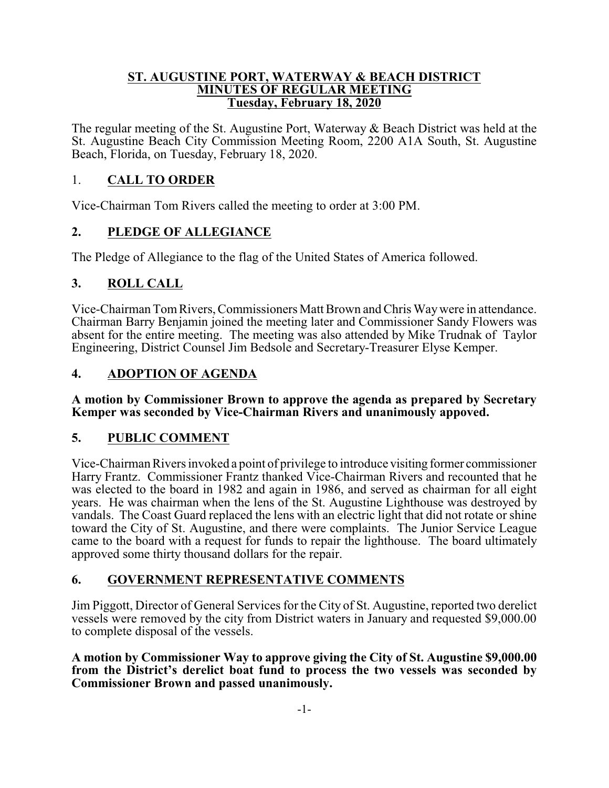#### **ST. AUGUSTINE PORT, WATERWAY & BEACH DISTRICT MINUTES OF REGULAR MEETING Tuesday, February 18, 2020**

The regular meeting of the St. Augustine Port, Waterway & Beach District was held at the St. Augustine Beach City Commission Meeting Room, 2200 A1A South, St. Augustine Beach, Florida, on Tuesday, February 18, 2020.

### 1. **CALL TO ORDER**

Vice-Chairman Tom Rivers called the meeting to order at 3:00 PM.

## **2. PLEDGE OF ALLEGIANCE**

The Pledge of Allegiance to the flag of the United States of America followed.

## **3. ROLL CALL**

Vice-Chairman TomRivers, Commissioners Matt Brown and Chris Waywere in attendance. Chairman Barry Benjamin joined the meeting later and Commissioner Sandy Flowers was absent for the entire meeting. The meeting was also attended by Mike Trudnak of Taylor Engineering, District Counsel Jim Bedsole and Secretary-Treasurer Elyse Kemper.

## **4. ADOPTION OF AGENDA**

**A motion by Commissioner Brown to approve the agenda as prepared by Secretary Kemper was seconded by Vice-Chairman Rivers and unanimously appoved.**

### **5. PUBLIC COMMENT**

Vice-Chairman Rivers invoked a point of privilege to introduce visiting former commissioner Harry Frantz. Commissioner Frantz thanked Vice-Chairman Rivers and recounted that he was elected to the board in 1982 and again in 1986, and served as chairman for all eight years. He was chairman when the lens of the St. Augustine Lighthouse was destroyed by vandals. The Coast Guard replaced the lens with an electric light that did not rotate or shine toward the City of St. Augustine, and there were complaints. The Junior Service League came to the board with a request for funds to repair the lighthouse. The board ultimately approved some thirty thousand dollars for the repair.

### **6. GOVERNMENT REPRESENTATIVE COMMENTS**

Jim Piggott, Director of General Services for the City of St. Augustine, reported two derelict vessels were removed by the city from District waters in January and requested \$9,000.00 to complete disposal of the vessels.

**A motion by Commissioner Way to approve giving the City of St. Augustine \$9,000.00 from the District's derelict boat fund to process the two vessels was seconded by Commissioner Brown and passed unanimously.**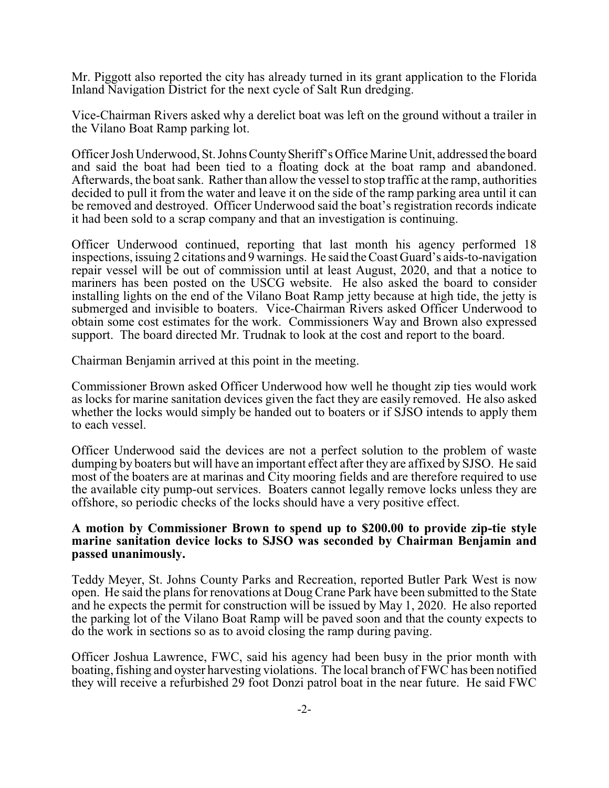Mr. Piggott also reported the city has already turned in its grant application to the Florida Inland Navigation District for the next cycle of Salt Run dredging.

Vice-Chairman Rivers asked why a derelict boat was left on the ground without a trailer in the Vilano Boat Ramp parking lot.

Officer Josh Underwood, St. Johns CountySheriff's Office Marine Unit, addressed the board and said the boat had been tied to a floating dock at the boat ramp and abandoned. Afterwards, the boat sank. Rather than allow the vessel to stop traffic at the ramp, authorities decided to pull it from the water and leave it on the side of the ramp parking area until it can be removed and destroyed. Officer Underwood said the boat's registration records indicate it had been sold to a scrap company and that an investigation is continuing.

Officer Underwood continued, reporting that last month his agency performed 18 inspections, issuing 2 citations and 9 warnings. He said the Coast Guard's aids-to-navigation repair vessel will be out of commission until at least August, 2020, and that a notice to mariners has been posted on the USCG website. He also asked the board to consider installing lights on the end of the Vilano Boat Ramp jetty because at high tide, the jetty is submerged and invisible to boaters. Vice-Chairman Rivers asked Officer Underwood to obtain some cost estimates for the work. Commissioners Way and Brown also expressed support. The board directed Mr. Trudnak to look at the cost and report to the board.

Chairman Benjamin arrived at this point in the meeting.

Commissioner Brown asked Officer Underwood how well he thought zip ties would work as locks for marine sanitation devices given the fact they are easily removed. He also asked whether the locks would simply be handed out to boaters or if SJSO intends to apply them to each vessel.

Officer Underwood said the devices are not a perfect solution to the problem of waste dumping by boaters but will have an important effect after they are affixed by SJSO. He said most of the boaters are at marinas and City mooring fields and are therefore required to use the available city pump-out services. Boaters cannot legally remove locks unless they are offshore, so periodic checks of the locks should have a very positive effect.

#### **A motion by Commissioner Brown to spend up to \$200.00 to provide zip-tie style marine sanitation device locks to SJSO was seconded by Chairman Benjamin and passed unanimously.**

Teddy Meyer, St. Johns County Parks and Recreation, reported Butler Park West is now open. He said the plans for renovations at Doug Crane Park have been submitted to the State and he expects the permit for construction will be issued by May 1, 2020. He also reported the parking lot of the Vilano Boat Ramp will be paved soon and that the county expects to do the work in sections so as to avoid closing the ramp during paving.

Officer Joshua Lawrence, FWC, said his agency had been busy in the prior month with boating, fishing and oyster harvesting violations. The local branch of FWC has been notified they will receive a refurbished 29 foot Donzi patrol boat in the near future. He said FWC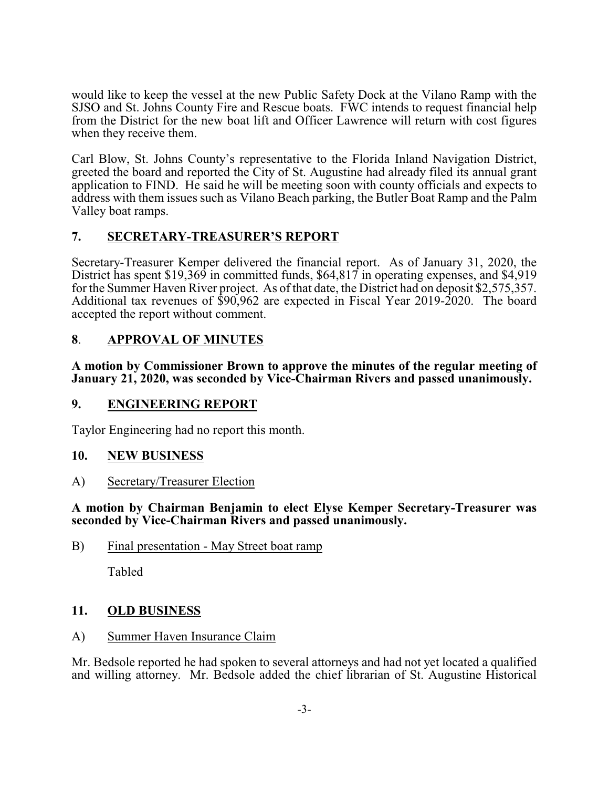would like to keep the vessel at the new Public Safety Dock at the Vilano Ramp with the SJSO and St. Johns County Fire and Rescue boats. FWC intends to request financial help from the District for the new boat lift and Officer Lawrence will return with cost figures when they receive them.

Carl Blow, St. Johns County's representative to the Florida Inland Navigation District, greeted the board and reported the City of St. Augustine had already filed its annual grant application to FIND. He said he will be meeting soon with county officials and expects to address with them issues such as Vilano Beach parking, the Butler Boat Ramp and the Palm Valley boat ramps.

## **7. SECRETARY-TREASURER'S REPORT**

Secretary-Treasurer Kemper delivered the financial report. As of January 31, 2020, the District has spent \$19,369 in committed funds, \$64,817 in operating expenses, and \$4,919 for the Summer Haven River project. As of that date, the District had on deposit \$2,575,357. Additional tax revenues of \$90,962 are expected in Fiscal Year 2019-2020. The board accepted the report without comment.

## **8**. **APPROVAL OF MINUTES**

**A motion by Commissioner Brown to approve the minutes of the regular meeting of January 21, 2020, was seconded by Vice-Chairman Rivers and passed unanimously.**

### **9. ENGINEERING REPORT**

Taylor Engineering had no report this month.

### **10. NEW BUSINESS**

A) Secretary/Treasurer Election

**A motion by Chairman Benjamin to elect Elyse Kemper Secretary-Treasurer was seconded by Vice-Chairman Rivers and passed unanimously.**

#### B) Final presentation - May Street boat ramp

Tabled

### **11. OLD BUSINESS**

### A) Summer Haven Insurance Claim

Mr. Bedsole reported he had spoken to several attorneys and had not yet located a qualified and willing attorney. Mr. Bedsole added the chief librarian of St. Augustine Historical